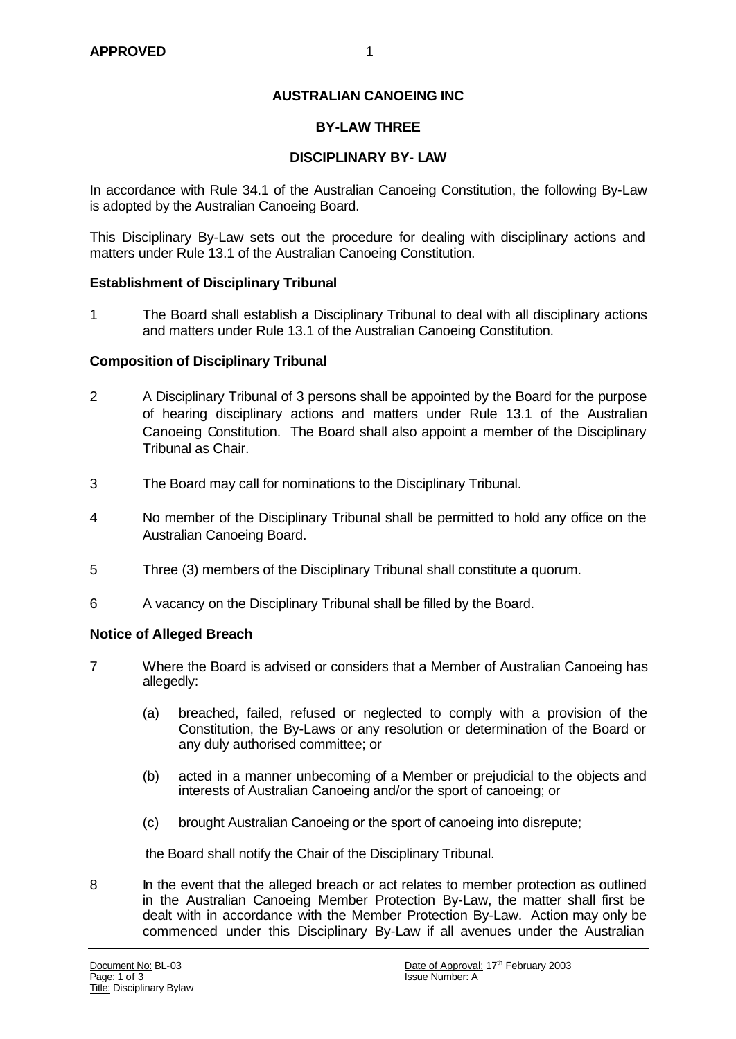### **AUSTRALIAN CANOEING INC**

#### **BY-LAW THREE**

#### **DISCIPLINARY BY- LAW**

In accordance with Rule 34.1 of the Australian Canoeing Constitution, the following By-Law is adopted by the Australian Canoeing Board.

This Disciplinary By-Law sets out the procedure for dealing with disciplinary actions and matters under Rule 13.1 of the Australian Canoeing Constitution.

#### **Establishment of Disciplinary Tribunal**

1 The Board shall establish a Disciplinary Tribunal to deal with all disciplinary actions and matters under Rule 13.1 of the Australian Canoeing Constitution.

### **Composition of Disciplinary Tribunal**

- 2 A Disciplinary Tribunal of 3 persons shall be appointed by the Board for the purpose of hearing disciplinary actions and matters under Rule 13.1 of the Australian Canoeing Constitution. The Board shall also appoint a member of the Disciplinary Tribunal as Chair.
- 3 The Board may call for nominations to the Disciplinary Tribunal.
- 4 No member of the Disciplinary Tribunal shall be permitted to hold any office on the Australian Canoeing Board.
- 5 Three (3) members of the Disciplinary Tribunal shall constitute a quorum.
- 6 A vacancy on the Disciplinary Tribunal shall be filled by the Board.

#### **Notice of Alleged Breach**

- 7 Where the Board is advised or considers that a Member of Australian Canoeing has allegedly:
	- (a) breached, failed, refused or neglected to comply with a provision of the Constitution, the By-Laws or any resolution or determination of the Board or any duly authorised committee; or
	- (b) acted in a manner unbecoming of a Member or prejudicial to the objects and interests of Australian Canoeing and/or the sport of canoeing; or
	- (c) brought Australian Canoeing or the sport of canoeing into disrepute;

the Board shall notify the Chair of the Disciplinary Tribunal.

8 In the event that the alleged breach or act relates to member protection as outlined in the Australian Canoeing Member Protection By-Law, the matter shall first be dealt with in accordance with the Member Protection By-Law. Action may only be commenced under this Disciplinary By-Law if all avenues under the Australian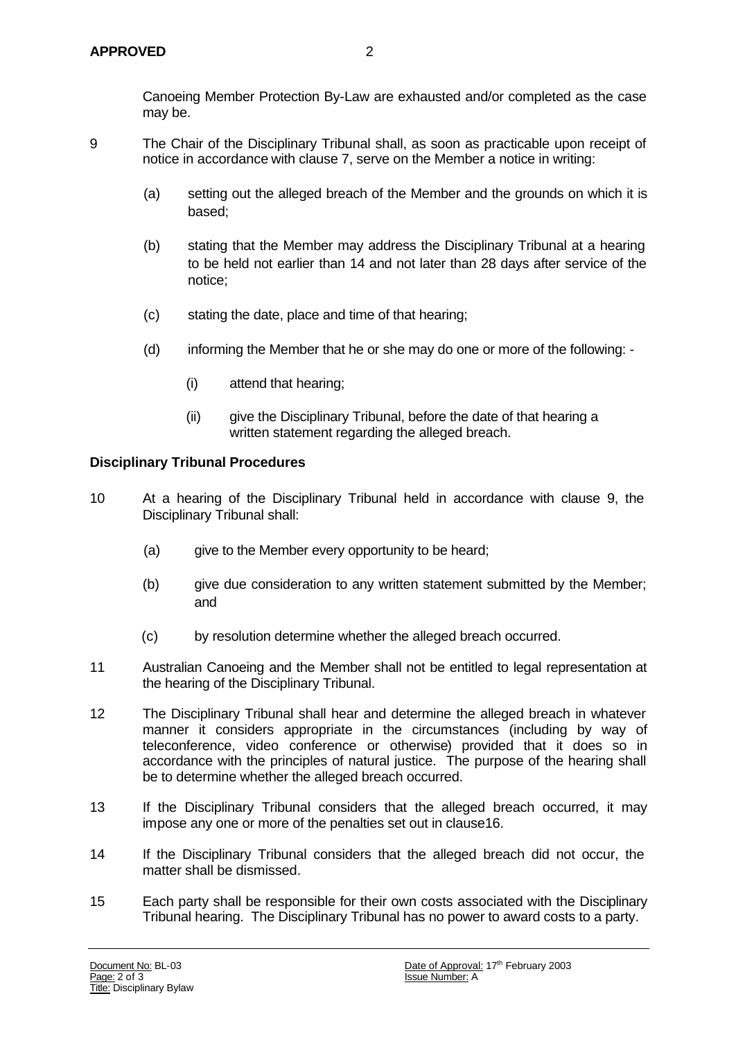Canoeing Member Protection By-Law are exhausted and/or completed as the case may be.

- 9 The Chair of the Disciplinary Tribunal shall, as soon as practicable upon receipt of notice in accordance with clause 7, serve on the Member a notice in writing:
	- (a) setting out the alleged breach of the Member and the grounds on which it is based;
	- (b) stating that the Member may address the Disciplinary Tribunal at a hearing to be held not earlier than 14 and not later than 28 days after service of the notice;
	- (c) stating the date, place and time of that hearing;
	- (d) informing the Member that he or she may do one or more of the following:
		- (i) attend that hearing;
		- (ii) give the Disciplinary Tribunal, before the date of that hearing a written statement regarding the alleged breach.

#### **Disciplinary Tribunal Procedures**

- 10 At a hearing of the Disciplinary Tribunal held in accordance with clause 9, the Disciplinary Tribunal shall:
	- (a) give to the Member every opportunity to be heard;
	- (b) give due consideration to any written statement submitted by the Member; and
	- (c) by resolution determine whether the alleged breach occurred.
- 11 Australian Canoeing and the Member shall not be entitled to legal representation at the hearing of the Disciplinary Tribunal.
- 12 The Disciplinary Tribunal shall hear and determine the alleged breach in whatever manner it considers appropriate in the circumstances (including by way of teleconference, video conference or otherwise) provided that it does so in accordance with the principles of natural justice. The purpose of the hearing shall be to determine whether the alleged breach occurred.
- 13 If the Disciplinary Tribunal considers that the alleged breach occurred, it may impose any one or more of the penalties set out in clause16.
- 14 If the Disciplinary Tribunal considers that the alleged breach did not occur, the matter shall be dismissed.
- 15 Each party shall be responsible for their own costs associated with the Disciplinary Tribunal hearing. The Disciplinary Tribunal has no power to award costs to a party.